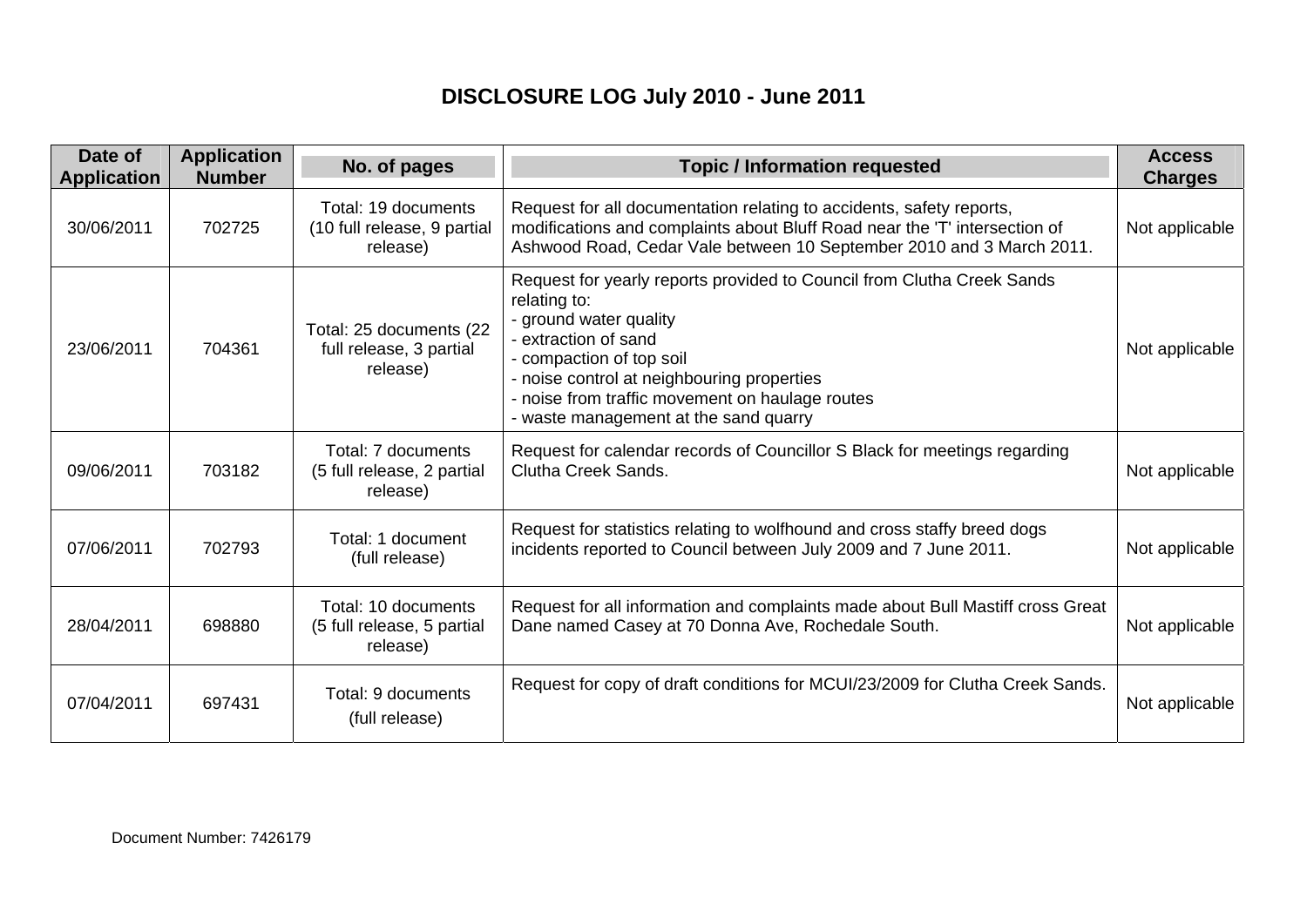## **DISCLOSURE LOG July 2010 - June 2011**

| Date of<br><b>Application</b> | <b>Application</b><br><b>Number</b> | No. of pages                                                   | <b>Topic / Information requested</b>                                                                                                                                                                                                                                                                           | <b>Access</b><br><b>Charges</b> |
|-------------------------------|-------------------------------------|----------------------------------------------------------------|----------------------------------------------------------------------------------------------------------------------------------------------------------------------------------------------------------------------------------------------------------------------------------------------------------------|---------------------------------|
| 30/06/2011                    | 702725                              | Total: 19 documents<br>(10 full release, 9 partial<br>release) | Request for all documentation relating to accidents, safety reports,<br>modifications and complaints about Bluff Road near the 'T' intersection of<br>Ashwood Road, Cedar Vale between 10 September 2010 and 3 March 2011.                                                                                     | Not applicable                  |
| 23/06/2011                    | 704361                              | Total: 25 documents (22<br>full release, 3 partial<br>release) | Request for yearly reports provided to Council from Clutha Creek Sands<br>relating to:<br>- ground water quality<br>- extraction of sand<br>- compaction of top soil<br>- noise control at neighbouring properties<br>- noise from traffic movement on haulage routes<br>- waste management at the sand quarry | Not applicable                  |
| 09/06/2011                    | 703182                              | Total: 7 documents<br>(5 full release, 2 partial<br>release)   | Request for calendar records of Councillor S Black for meetings regarding<br>Clutha Creek Sands.                                                                                                                                                                                                               | Not applicable                  |
| 07/06/2011                    | 702793                              | Total: 1 document<br>(full release)                            | Request for statistics relating to wolfhound and cross staffy breed dogs<br>incidents reported to Council between July 2009 and 7 June 2011.                                                                                                                                                                   | Not applicable                  |
| 28/04/2011                    | 698880                              | Total: 10 documents<br>(5 full release, 5 partial<br>release)  | Request for all information and complaints made about Bull Mastiff cross Great<br>Dane named Casey at 70 Donna Ave, Rochedale South.                                                                                                                                                                           | Not applicable                  |
| 07/04/2011                    | 697431                              | Total: 9 documents<br>(full release)                           | Request for copy of draft conditions for MCUI/23/2009 for Clutha Creek Sands.                                                                                                                                                                                                                                  | Not applicable                  |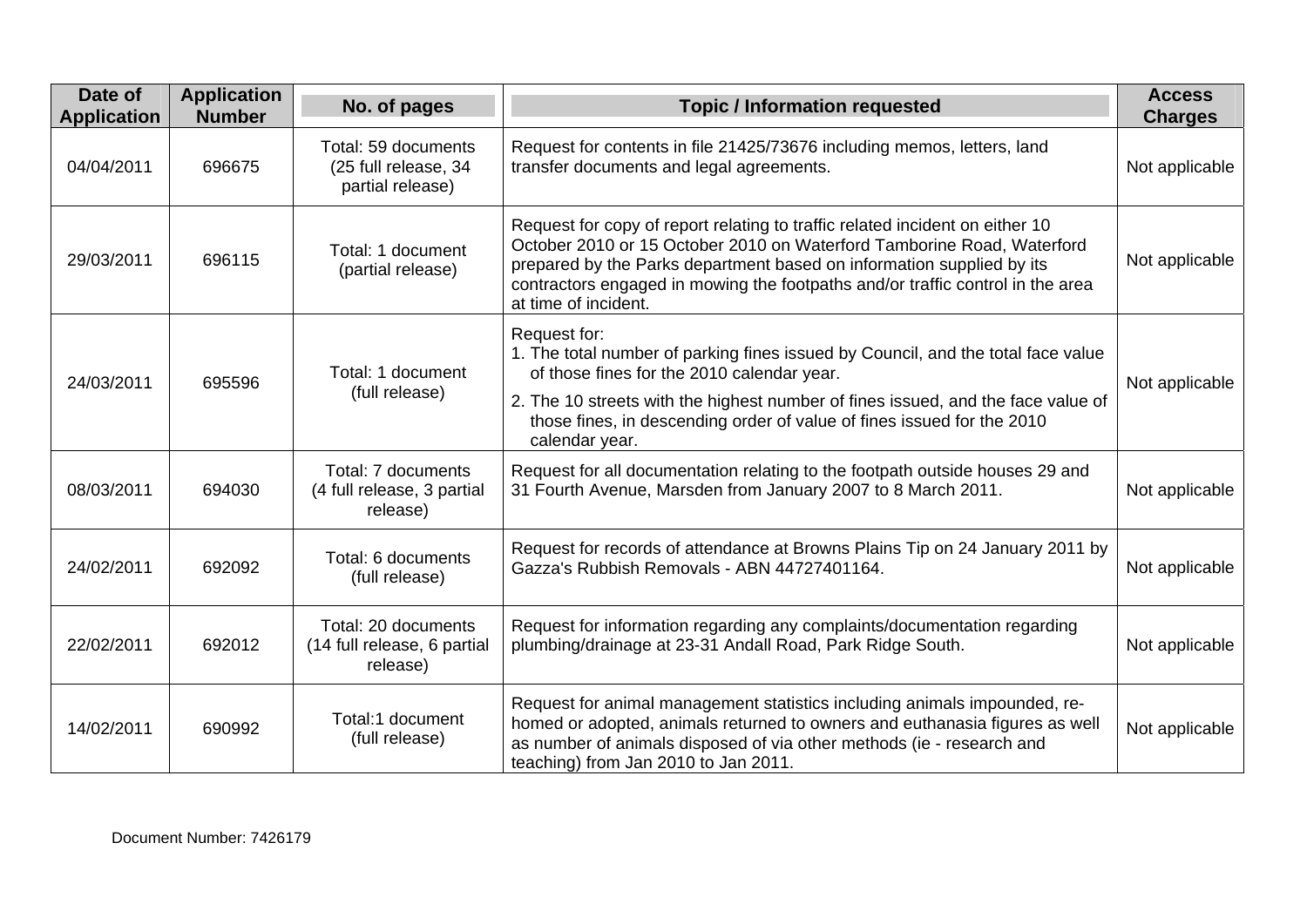| Date of<br><b>Application</b> | <b>Application</b><br><b>Number</b> | No. of pages                                                    | <b>Topic / Information requested</b>                                                                                                                                                                                                                                                                                                      | <b>Access</b><br><b>Charges</b> |
|-------------------------------|-------------------------------------|-----------------------------------------------------------------|-------------------------------------------------------------------------------------------------------------------------------------------------------------------------------------------------------------------------------------------------------------------------------------------------------------------------------------------|---------------------------------|
| 04/04/2011                    | 696675                              | Total: 59 documents<br>(25 full release, 34<br>partial release) | Request for contents in file 21425/73676 including memos, letters, land<br>transfer documents and legal agreements.                                                                                                                                                                                                                       | Not applicable                  |
| 29/03/2011                    | 696115                              | Total: 1 document<br>(partial release)                          | Request for copy of report relating to traffic related incident on either 10<br>October 2010 or 15 October 2010 on Waterford Tamborine Road, Waterford<br>prepared by the Parks department based on information supplied by its<br>contractors engaged in mowing the footpaths and/or traffic control in the area<br>at time of incident. | Not applicable                  |
| 24/03/2011                    | 695596                              | Total: 1 document<br>(full release)                             | Request for:<br>1. The total number of parking fines issued by Council, and the total face value<br>of those fines for the 2010 calendar year.<br>2. The 10 streets with the highest number of fines issued, and the face value of<br>those fines, in descending order of value of fines issued for the 2010<br>calendar year.            | Not applicable                  |
| 08/03/2011                    | 694030                              | Total: 7 documents<br>(4 full release, 3 partial<br>release)    | Request for all documentation relating to the footpath outside houses 29 and<br>31 Fourth Avenue, Marsden from January 2007 to 8 March 2011.                                                                                                                                                                                              | Not applicable                  |
| 24/02/2011                    | 692092                              | Total: 6 documents<br>(full release)                            | Request for records of attendance at Browns Plains Tip on 24 January 2011 by<br>Gazza's Rubbish Removals - ABN 44727401164.                                                                                                                                                                                                               | Not applicable                  |
| 22/02/2011                    | 692012                              | Total: 20 documents<br>(14 full release, 6 partial<br>release)  | Request for information regarding any complaints/documentation regarding<br>plumbing/drainage at 23-31 Andall Road, Park Ridge South.                                                                                                                                                                                                     | Not applicable                  |
| 14/02/2011                    | 690992                              | Total:1 document<br>(full release)                              | Request for animal management statistics including animals impounded, re-<br>homed or adopted, animals returned to owners and euthanasia figures as well<br>as number of animals disposed of via other methods (ie - research and<br>teaching) from Jan 2010 to Jan 2011.                                                                 | Not applicable                  |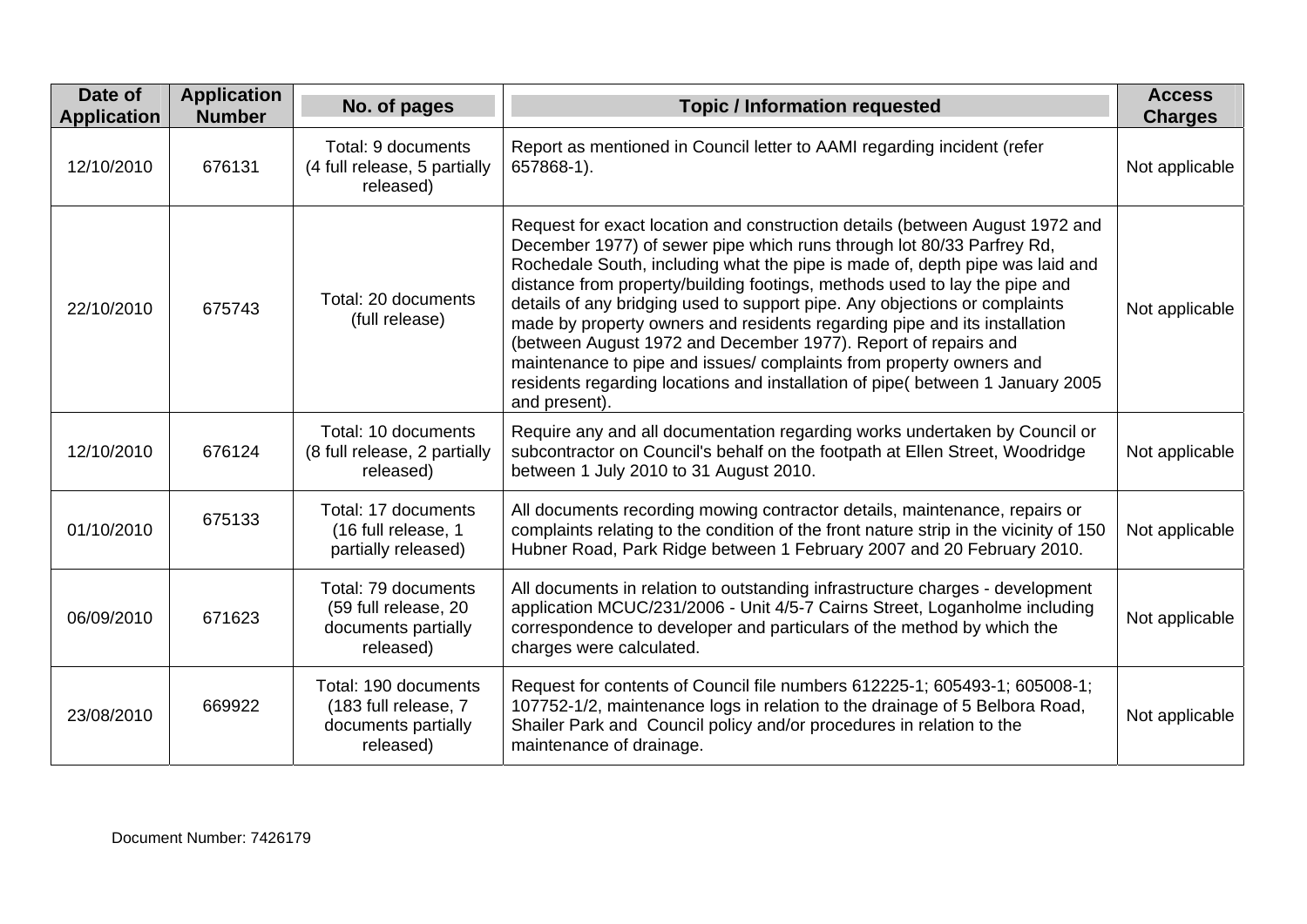| Date of<br><b>Application</b> | <b>Application</b><br><b>Number</b> | No. of pages                                                                     | <b>Topic / Information requested</b>                                                                                                                                                                                                                                                                                                                                                                                                                                                                                                                                                                                                                                                                                       | <b>Access</b><br><b>Charges</b> |
|-------------------------------|-------------------------------------|----------------------------------------------------------------------------------|----------------------------------------------------------------------------------------------------------------------------------------------------------------------------------------------------------------------------------------------------------------------------------------------------------------------------------------------------------------------------------------------------------------------------------------------------------------------------------------------------------------------------------------------------------------------------------------------------------------------------------------------------------------------------------------------------------------------------|---------------------------------|
| 12/10/2010                    | 676131                              | Total: 9 documents<br>(4 full release, 5 partially<br>released)                  | Report as mentioned in Council letter to AAMI regarding incident (refer<br>657868-1).                                                                                                                                                                                                                                                                                                                                                                                                                                                                                                                                                                                                                                      | Not applicable                  |
| 22/10/2010                    | 675743                              | Total: 20 documents<br>(full release)                                            | Request for exact location and construction details (between August 1972 and<br>December 1977) of sewer pipe which runs through lot 80/33 Parfrey Rd,<br>Rochedale South, including what the pipe is made of, depth pipe was laid and<br>distance from property/building footings, methods used to lay the pipe and<br>details of any bridging used to support pipe. Any objections or complaints<br>made by property owners and residents regarding pipe and its installation<br>(between August 1972 and December 1977). Report of repairs and<br>maintenance to pipe and issues/ complaints from property owners and<br>residents regarding locations and installation of pipe( between 1 January 2005<br>and present). | Not applicable                  |
| 12/10/2010                    | 676124                              | Total: 10 documents<br>(8 full release, 2 partially<br>released)                 | Require any and all documentation regarding works undertaken by Council or<br>subcontractor on Council's behalf on the footpath at Ellen Street, Woodridge<br>between 1 July 2010 to 31 August 2010.                                                                                                                                                                                                                                                                                                                                                                                                                                                                                                                       | Not applicable                  |
| 01/10/2010                    | 675133                              | Total: 17 documents<br>(16 full release, 1<br>partially released)                | All documents recording mowing contractor details, maintenance, repairs or<br>complaints relating to the condition of the front nature strip in the vicinity of 150<br>Hubner Road, Park Ridge between 1 February 2007 and 20 February 2010.                                                                                                                                                                                                                                                                                                                                                                                                                                                                               | Not applicable                  |
| 06/09/2010                    | 671623                              | Total: 79 documents<br>(59 full release, 20<br>documents partially<br>released)  | All documents in relation to outstanding infrastructure charges - development<br>application MCUC/231/2006 - Unit 4/5-7 Cairns Street, Loganholme including<br>correspondence to developer and particulars of the method by which the<br>charges were calculated.                                                                                                                                                                                                                                                                                                                                                                                                                                                          | Not applicable                  |
| 23/08/2010                    | 669922                              | Total: 190 documents<br>(183 full release, 7<br>documents partially<br>released) | Request for contents of Council file numbers 612225-1; 605493-1; 605008-1;<br>107752-1/2, maintenance logs in relation to the drainage of 5 Belbora Road,<br>Shailer Park and Council policy and/or procedures in relation to the<br>maintenance of drainage.                                                                                                                                                                                                                                                                                                                                                                                                                                                              | Not applicable                  |